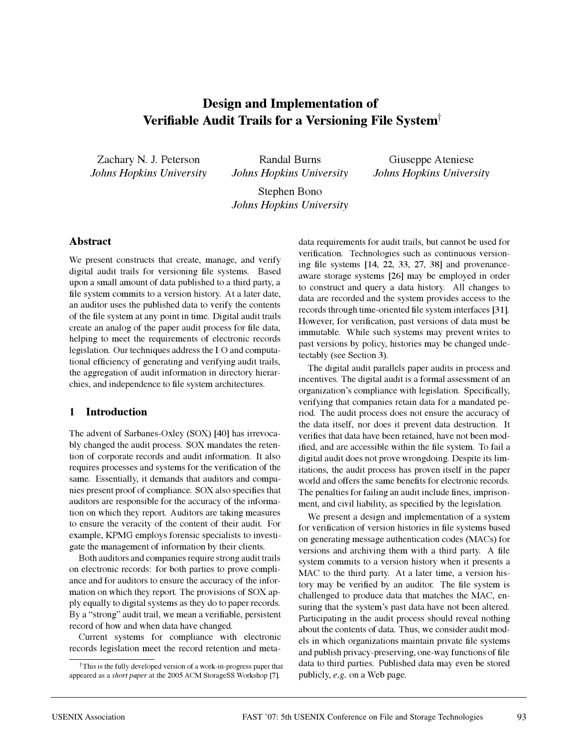# **Design and Implementation of Verifiable Audit Trails for a Versioning File System**†

Zachary N. J. Peterson *Johns Hopkins University*

Randal Burns *Johns Hopkins University*

Giuseppe Ateniese *Johns Hopkins University*

Stephen Bono *Johns Hopkins University*

#### **Abstract**

We present constructs that create, manage, and verify digital audit trails for versioning file systems. Based upon a small amount of data published to a third party, a file system commits to a version history. At a later date, an auditor uses the published data to verify the contents of the file system at any point in time. Digital audit trails create an analog of the paper audit process for file data, helping to meet the requirements of electronic records legislation. Our techniques address the I/O and computational efficiency of generating and verifying audit trails, the aggregation of audit information in directory hierarchies, and independence to file system architectures.

## **1 Introduction**

The advent of Sarbanes-Oxley (SOX) [40] has irrevocably changed the audit process. SOX mandates the retention of corporate records and audit information. It also requires processes and systems for the verification of the same. Essentially, it demands that auditors and companies present proof of compliance. SOX also specifies that auditors are responsible for the accuracy of the information on which they report. Auditors are taking measures to ensure the veracity of the content of their audit. For example, KPMG employs forensic specialists to investigate the management of information by their clients.

Both auditors and companies require strong audit trails on electronic records: for both parties to prove compliance and for auditors to ensure the accuracy of the information on which they report. The provisions of SOX apply equally to digital systems as they do to paper records. By a "strong" audit trail, we mean a verifiable, persistent record of how and when data have changed.

Current systems for compliance with electronic records legislation meet the record retention and metadata requirements for audit trails, but cannot be used for verification. Technologies such as continuous versioning file systems [14, 22, 33, 27, 38] and provenanceaware storage systems [26] may be employed in order to construct and query a data history. All changes to data are recorded and the system provides access to the records through time-oriented file system interfaces [31]. However, for verification, past versions of data must be immutable. While such systems may prevent writes to past versions by policy, histories may be changed undetectably (see Section 3).

The digital audit parallels paper audits in process and incentives. The digital audit is a formal assessment of an organization's compliance with legislation. Specifically, verifying that companies retain data for a mandated period. The audit process does not ensure the accuracy of the data itself, nor does it prevent data destruction. It verifies that data have been retained, have not been modified, and are accessible within the file system. To fail a digital audit does not prove wrongdoing. Despite its limitations, the audit process has proven itself in the paper world and offers the same benefits for electronic records. The penalties for failing an audit include fines, imprisonment, and civil liability, as specified by the legislation.

We present a design and implementation of a system for verification of version histories in file systems based on generating message authentication codes (MACs) for versions and archiving them with a third party. A file system commits to a version history when it presents a MAC to the third party. At a later time, a version history may be verified by an auditor. The file system is challenged to produce data that matches the MAC, ensuring that the system's past data have not been altered. Participating in the audit process should reveal nothing about the contents of data. Thus, we consider audit models in which organizations maintain private file systems and publish privacy-preserving, one-way functions of file data to third parties. Published data may even be stored publicly, *e.g.* on a Web page.

<sup>†</sup>This is the fully developed version of a work-in-progress paper that appeared as a *short paper* at the 2005 ACM StorageSS Workshop [7].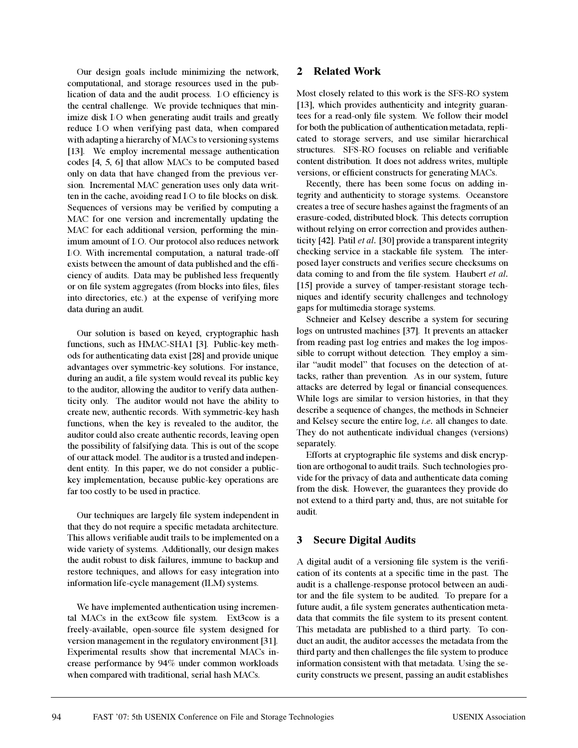Our design goals include minimizing the network, computational, and storage resources used in the publication of data and the audit process. I/O efficiency is the central challenge. We provide techniques that minimize disk I/O when generating audit trails and greatly reduce I/O when verifying past data, when compared with adapting a hierarchy of MACs to versioning systems [13]. We employ incremental message authentication codes [4, 5, 6] that allow MACs to be computed based only on data that have changed from the previous version. Incremental MAC generation uses only data written in the cache, avoiding read I/O to file blocks on disk. Sequences of versions may be verified by computing a MAC for one version and incrementally updating the MAC for each additional version, performing the minimum amount of I/O. Our protocol also reduces network I/O. With incremental computation, a natural trade-off exists between the amount of data published and the efficiency of audits. Data may be published less frequently or on file system aggregates (from blocks into files, files into directories, etc.) at the expense of verifying more data during an audit.

Our solution is based on keyed, cryptographic hash functions, such as HMAC-SHA1 [3]. Public-key methods for authenticating data exist [28] and provide unique advantages over symmetric-key solutions. For instance, during an audit, a file system would reveal its public key to the auditor, allowing the auditor to verify data authenticity only. The auditor would not have the ability to create new, authentic records. With symmetric-key hash functions, when the key is revealed to the auditor, the auditor could also create authentic records, leaving open the possibility of falsifying data. This is out of the scope of our attack model. The auditor is a trusted and independent entity. In this paper, we do not consider a publickey implementation, because public-key operations are far too costly to be used in practice.

Our techniques are largely file system independent in that they do not require a specific metadata architecture. This allows verifiable audit trails to be implemented on a wide variety of systems. Additionally, our design makes the audit robust to disk failures, immune to backup and restore techniques, and allows for easy integration into information life-cycle management (ILM) systems.

We have implemented authentication using incremental MACs in the ext3cow file system. Ext3cow is a freely-available, open-source file system designed for version management in the regulatory environment [31]. Experimental results show that incremental MACs increase performance by 94% under common workloads when compared with traditional, serial hash MACs.

# **2 Related Work**

Most closely related to this work is the SFS-RO system [13], which provides authenticity and integrity guarantees for a read-only file system. We follow their model for both the publication of authentication metadata, replicated to storage servers, and use similar hierarchical structures. SFS-RO focuses on reliable and verifiable content distribution. It does not address writes, multiple versions, or efficient constructs for generating MACs.

Recently, there has been some focus on adding integrity and authenticity to storage systems. Oceanstore creates a tree of secure hashes against the fragments of an erasure-coded, distributed block. This detects corruption without relying on error correction and provides authenticity [42]. Patil *et al.* [30] provide a transparent integrity checking service in a stackable file system. The interposed layer constructs and verifies secure checksums on data coming to and from the file system. Haubert *et al.* [15] provide a survey of tamper-resistant storage techniques and identify security challenges and technology gaps for multimedia storage systems.

Schneier and Kelsey describe a system for securing logs on untrusted machines [37]. It prevents an attacker from reading past log entries and makes the log impossible to corrupt without detection. They employ a similar "audit model" that focuses on the detection of attacks, rather than prevention. As in our system, future attacks are deterred by legal or financial consequences. While logs are similar to version histories, in that they describe a sequence of changes, the methods in Schneier and Kelsey secure the entire log, *i.e.* all changes to date. They do not authenticate individual changes (versions) separately.

Efforts at cryptographic file systems and disk encryption are orthogonal to audit trails. Such technologies provide for the privacy of data and authenticate data coming from the disk. However, the guarantees they provide do not extend to a third party and, thus, are not suitable for audit.

# **3 Secure Digital Audits**

A digital audit of a versioning file system is the verification of its contents at a specific time in the past. The audit is a challenge-response protocol between an auditor and the file system to be audited. To prepare for a future audit, a file system generates authentication metadata that commits the file system to its present content. This metadata are published to a third party. To conduct an audit, the auditor accesses the metadata from the third party and then challenges the file system to produce information consistent with that metadata. Using the security constructs we present, passing an audit establishes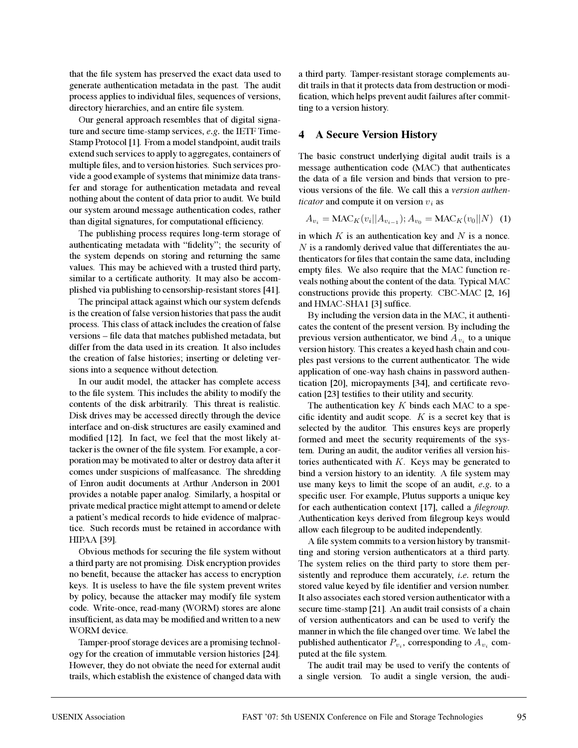that the file system has preserved the exact data used to generate authentication metadata in the past. The audit process applies to individual files, sequences of versions, directory hierarchies, and an entire file system.

Our general approach resembles that of digital signature and secure time-stamp services, *e.g.* the IETF Time-Stamp Protocol [1]. From a model standpoint, audit trails extend such services to apply to aggregates, containers of multiple files, and to version histories. Such services provide a good example of systems that minimize data transfer and storage for authentication metadata and reveal nothing about the content of data prior to audit. We build our system around message authentication codes, rather than digital signatures, for computational efficiency.

The publishing process requires long-term storage of authenticating metadata with "fidelity"; the security of the system depends on storing and returning the same values. This may be achieved with a trusted third party, similar to a certificate authority. It may also be accomplished via publishing to censorship-resistant stores [41].

The principal attack against which our system defends is the creation of false version histories that pass the audit process. This class of attack includes the creation of false versions – file data that matches published metadata, but differ from the data used in its creation. It also includes the creation of false histories; inserting or deleting versions into a sequence without detection.

In our audit model, the attacker has complete access to the file system. This includes the ability to modify the contents of the disk arbitrarily. This threat is realistic. Disk drives may be accessed directly through the device interface and on-disk structures are easily examined and modified [12]. In fact, we feel that the most likely attacker is the owner of the file system. For example, a corporation may be motivated to alter or destroy data after it comes under suspicions of malfeasance. The shredding of Enron audit documents at Arthur Anderson in 2001 provides a notable paper analog. Similarly, a hospital or private medical practice might attempt to amend or delete a patient's medical records to hide evidence of malpractice. Such records must be retained in accordance with HIPAA [39].

Obvious methods for securing the file system without a third party are not promising. Disk encryption provides no benefit, because the attacker has access to encryption keys. It is useless to have the file system prevent writes by policy, because the attacker may modify file system code. Write-once, read-many (WORM) stores are alone insufficient, as data may be modified and written to a new WORM device.

Tamper-proof storage devices are a promising technology for the creation of immutable version histories [24]. However, they do not obviate the need for external audit trails, which establish the existence of changed data with a third party. Tamper-resistant storage complements audit trails in that it protects data from destruction or modification, which helps prevent audit failures after committing to a version history.

## **4 A Secure Version History**

The basic construct underlying digital audit trails is a message authentication code (MAC) that authenticates the data of a file version and binds that version to previous versions of the file. We call this a *version authenticator* and compute it on version  $v_i$  as

$$
A_{v_i} = \text{MAC}_K(v_i||A_{v_{i-1}}); A_{v_0} = \text{MAC}_K(v_0||N) \tag{1}
$$

in which  $K$  is an authentication key and  $N$  is a nonce.  $N$  is a randomly derived value that differentiates the authenticators for files that contain the same data, including empty files. We also require that the MAC function reveals nothing about the content of the data. Typical MAC constructions provide this property. CBC-MAC [2, 16] and HMAC-SHA1 [3] suffice.

By including the version data in the MAC, it authenticates the content of the present version. By including the previous version authenticator, we bind  $A_{v_i}$  to a unique version history. This creates a keyed hash chain and couples past versions to the current authenticator. The wide application of one-way hash chains in password authentication [20], micropayments [34], and certificate revocation [23] testifies to their utility and security.

The authentication key  $K$  binds each MAC to a specific identity and audit scope.  $K$  is a secret key that is selected by the auditor. This ensures keys are properly formed and meet the security requirements of the system. During an audit, the auditor verifies all version histories authenticated with  $K$ . Keys may be generated to bind a version history to an identity. A file system may use many keys to limit the scope of an audit, *e.g.* to a specific user. For example, Plutus supports a unique key for each authentication context [17], called a *filegroup*. Authentication keys derived from filegroup keys would allow each filegroup to be audited independently.

A file system commits to a version history by transmitting and storing version authenticators at a third party. The system relies on the third party to store them persistently and reproduce them accurately, *i.e.* return the stored value keyed by file identifier and version number. It also associates each stored version authenticator with a secure time-stamp [21]. An audit trail consists of a chain of version authenticators and can be used to verify the manner in which the file changed over time. We label the published authenticator  $P_{v_i}$ , corresponding to  $A_{v_i}$  computed at the file system.

The audit trail may be used to verify the contents of a single version. To audit a single version, the audi-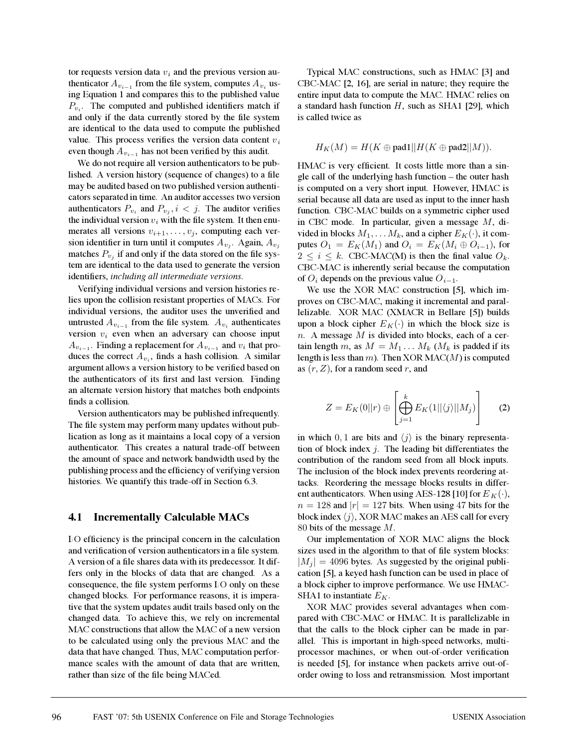tor requests version data  $v_i$  and the previous version authenticator  $A_{v_{i-1}}$  from the file system, computes  $A_{v_i}$  using Equation 1 and compares this to the published value  $P_{v_i}$ . The computed and published identifiers match if and only if the data currently stored by the file system are identical to the data used to compute the published value. This process verifies the version data content  $v_i$ even though  $A_{v_{i-1}}$  has not been verified by this audit.

We do not require all version authenticators to be published. A version history (sequence of changes) to a file may be audited based on two published version authenticators separated in time. An auditor accesses two version authenticators  $P_{v_i}$  and  $P_{v_j}$ ,  $i < j$ . The auditor verifies the individual version  $v_i$  with the file system. It then enumerates all versions  $v_{i+1}, \ldots, v_j$ , computing each version identifier in turn until it computes  $A_{v_i}$ . Again,  $A_{v_i}$ matches  $P_{v_i}$  if and only if the data stored on the file system are identical to the data used to generate the version identifiers, *including all intermediate versions*.

Verifying individual versions and version histories relies upon the collision resistant properties of MACs. For individual versions, the auditor uses the unverified and untrusted  $A_{v_{i-1}}$  from the file system.  $A_{v_i}$  authenticates version  $v_i$  even when an adversary can choose input  $A_{v_{i-1}}$ . Finding a replacement for  $A_{v_{i-1}}$  and  $v_i$  that produces the correct  $A_{v_i}$ , finds a hash collision. A similar argument allows a version history to be verified based on the authenticators of its first and last version. Finding an alternate version history that matches both endpoints finds a collision.

Version authenticators may be published infrequently. The file system may perform many updates without publication as long as it maintains a local copy of a version authenticator. This creates a natural trade-off between the amount of space and network bandwidth used by the publishing process and the efficiency of verifying version histories. We quantify this trade-off in Section 6.3.

## **4.1 Incrementally Calculable MACs**

I/O efficiency is the principal concern in the calculation and verification of version authenticators in a file system. A version of a file shares data with its predecessor. It differs only in the blocks of data that are changed. As a consequence, the file system performs I/O only on these changed blocks. For performance reasons, it is imperative that the system updates audit trails based only on the changed data. To achieve this, we rely on incremental MAC constructions that allow the MAC of a new version to be calculated using only the previous MAC and the data that have changed. Thus, MAC computation performance scales with the amount of data that are written, rather than size of the file being MACed.

Typical MAC constructions, such as HMAC [3] and CBC-MAC [2, 16], are serial in nature; they require the entire input data to compute the MAC. HMAC relies on a standard hash function  $H$ , such as SHA1 [29], which is called twice as

$$
H_K(M) = H(K \oplus \text{pad1} || H(K \oplus \text{pad2} || M)).
$$

HMAC is very efficient. It costs little more than a single call of the underlying hash function – the outer hash is computed on a very short input. However, HMAC is serial because all data are used as input to the inner hash function. CBC-MAC builds on a symmetric cipher used in CBC mode. In particular, given a message M, divided in blocks  $M_1, \ldots M_k$ , and a cipher  $E_K(\cdot)$ , it computes  $O_1 = E_K(M_1)$  and  $O_i = E_K(M_i \oplus O_{i-1})$ , for  $2 \le i \le k$ . CBC-MAC(M) is then the final value  $O_k$ . CBC-MAC is inherently serial because the computation of  $O_i$  depends on the previous value  $O_{i-1}$ .

We use the XOR MAC construction [5], which improves on CBC-MAC, making it incremental and parallelizable. XOR MAC (XMACR in Bellare [5]) builds upon a block cipher  $E_K(\cdot)$  in which the block size is  $n.$  A message  $M$  is divided into blocks, each of a certain length m, as  $M = M_1 \dots M_k$  ( $M_k$  is padded if its length is less than  $m$ ). Then XOR MAC( $M$ ) is computed as  $(r, Z)$ , for a random seed r, and

$$
Z = E_K(0||r) \oplus \left[\bigoplus_{j=1}^k E_K(1||\langle j \rangle||M_j)\right]
$$
 (2)

in which 0, 1 are bits and  $\langle j \rangle$  is the binary representation of block index  $j$ . The leading bit differentiates the contribution of the random seed from all block inputs. The inclusion of the block index prevents reordering attacks. Reordering the message blocks results in different authenticators. When using AES-128 [10] for  $E_K(\cdot)$ ,  $n = 128$  and  $|r| = 127$  bits. When using 47 bits for the block index  $\langle j \rangle$ , XOR MAC makes an AES call for every 80 bits of the message M.

Our implementation of XOR MAC aligns the block sizes used in the algorithm to that of file system blocks:  $|M_i| = 4096$  bytes. As suggested by the original publication [5], a keyed hash function can be used in place of a block cipher to improve performance. We use HMAC-SHA1 to instantiate  $E_K$ .

XOR MAC provides several advantages when compared with CBC-MAC or HMAC. It is parallelizable in that the calls to the block cipher can be made in parallel. This is important in high-speed networks, multiprocessor machines, or when out-of-order verification is needed [5], for instance when packets arrive out-oforder owing to loss and retransmission. Most important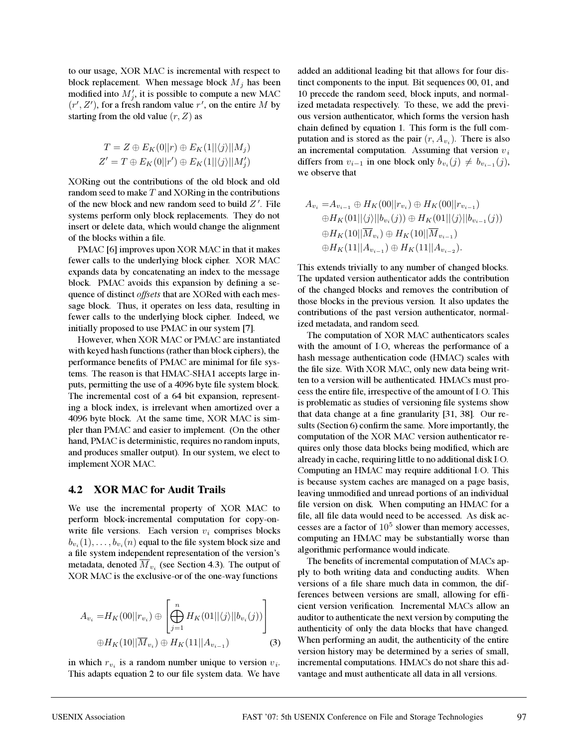to our usage, XOR MAC is incremental with respect to block replacement. When message block  $M_j$  has been modified into  $M'_j$ , it is possible to compute a new MAC  $(r', Z')$ , for a fresh random value  $r'$ , on the entire M by starting from the old value  $(r, Z)$  as

$$
T = Z \oplus E_K(0||r) \oplus E_K(1||\langle j \rangle||M_j)
$$
  

$$
Z' = T \oplus E_K(0||r') \oplus E_K(1||\langle j \rangle||M'_j)
$$

XORing out the contributions of the old block and old random seed to make  $T$  and XORing in the contributions of the new block and new random seed to build  $Z'$ . File systems perform only block replacements. They do not insert or delete data, which would change the alignment of the blocks within a file.

PMAC [6] improves upon XOR MAC in that it makes fewer calls to the underlying block cipher. XOR MAC expands data by concatenating an index to the message block. PMAC avoids this expansion by defining a sequence of distinct *offsets* that are XORed with each message block. Thus, it operates on less data, resulting in fewer calls to the underlying block cipher. Indeed, we initially proposed to use PMAC in our system [7].

However, when XOR MAC or PMAC are instantiated with keyed hash functions (rather than block ciphers), the performance benefits of PMAC are minimal for file systems. The reason is that HMAC-SHA1 accepts large inputs, permitting the use of a 4096 byte file system block. The incremental cost of a 64 bit expansion, representing a block index, is irrelevant when amortized over a 4096 byte block. At the same time, XOR MAC is simpler than PMAC and easier to implement. (On the other hand, PMAC is deterministic, requires no random inputs, and produces smaller output). In our system, we elect to implement XOR MAC.

#### **4.2 XOR MAC for Audit Trails**

We use the incremental property of XOR MAC to perform block-incremental computation for copy-onwrite file versions. Each version  $v_i$  comprises blocks  $b_{v_i}(1),\ldots,b_{v_i}(n)$  equal to the file system block size and a file system independent representation of the version's metadata, denoted  $M_{v_i}$  (see Section 4.3). The output of XOR MAC is the exclusive-or of the one-way functions

$$
A_{v_i} = H_K(00||r_{v_i}) \oplus \left[\bigoplus_{j=1}^n H_K(01||\langle j \rangle||b_{v_i}(j))\right]
$$
  

$$
\oplus H_K(10||\overline{M}_{v_i}) \oplus H_K(11||A_{v_{i-1}})
$$
 (3)

in which  $r_{v_i}$  is a random number unique to version  $v_i$ . This adapts equation 2 to our file system data. We have added an additional leading bit that allows for four distinct components to the input. Bit sequences 00, 01, and 10 precede the random seed, block inputs, and normalized metadata respectively. To these, we add the previous version authenticator, which forms the version hash chain defined by equation 1. This form is the full computation and is stored as the pair  $(r, A_{\nu_i})$ . There is also an incremental computation. Assuming that version  $v_i$ differs from  $v_{i-1}$  in one block only  $b_{v_i}(j) \neq b_{v_{i-1}}(j)$ , we observe that

$$
A_{v_i} = A_{v_{i-1}} \oplus H_K(00||r_{v_i}) \oplus H_K(00||r_{v_{i-1}})
$$
  
\n
$$
\oplus H_K(01||\langle j \rangle||b_{v_i}(j)) \oplus H_K(01||\langle j \rangle||b_{v_{i-1}}(j))
$$
  
\n
$$
\oplus H_K(10||\overline{M}_{v_i}) \oplus H_K(10||\overline{M}_{v_{i-1}})
$$
  
\n
$$
\oplus H_K(11||A_{v_{i-1}}) \oplus H_K(11||A_{v_{i-2}}).
$$

This extends trivially to any number of changed blocks. The updated version authenticator adds the contribution of the changed blocks and removes the contribution of those blocks in the previous version. It also updates the contributions of the past version authenticator, normalized metadata, and random seed.

The computation of XOR MAC authenticators scales with the amount of I/O, whereas the performance of a hash message authentication code (HMAC) scales with the file size. With XOR MAC, only new data being written to a version will be authenticated. HMACs must process the entire file, irrespective of the amount of I/O. This is problematic as studies of versioning file systems show that data change at a fine granularity [31, 38]. Our results (Section 6) confirm the same. More importantly, the computation of the XOR MAC version authenticator requires only those data blocks being modified, which are already in cache, requiring little to no additional disk I/O. Computing an HMAC may require additional I/O. This is because system caches are managed on a page basis, leaving unmodified and unread portions of an individual file version on disk. When computing an HMAC for a file, all file data would need to be accessed. As disk accesses are a factor of  $10^5$  slower than memory accesses, computing an HMAC may be substantially worse than algorithmic performance would indicate.

The benefits of incremental computation of MACs apply to both writing data and conducting audits. When versions of a file share much data in common, the differences between versions are small, allowing for efficient version verification. Incremental MACs allow an auditor to authenticate the next version by computing the authenticity of only the data blocks that have changed. When performing an audit, the authenticity of the entire version history may be determined by a series of small, incremental computations. HMACs do not share this advantage and must authenticate all data in all versions.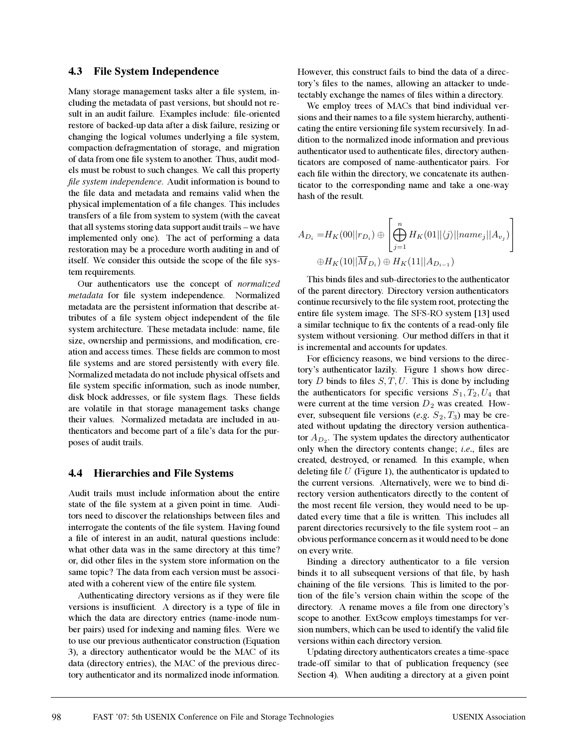#### **4.3 File System Independence**

Many storage management tasks alter a file system, including the metadata of past versions, but should not result in an audit failure. Examples include: file-oriented restore of backed-up data after a disk failure, resizing or changing the logical volumes underlying a file system, compaction/defragmentation of storage, and migration of data from one file system to another. Thus, audit models must be robust to such changes. We call this property *file system independence*. Audit information is bound to the file data and metadata and remains valid when the physical implementation of a file changes. This includes transfers of a file from system to system (with the caveat that all systems storing data support audit trails – we have implemented only one). The act of performing a data restoration may be a procedure worth auditing in and of itself. We consider this outside the scope of the file system requirements.

Our authenticators use the concept of *normalized metadata* for file system independence. Normalized metadata are the persistent information that describe attributes of a file system object independent of the file system architecture. These metadata include: name, file size, ownership and permissions, and modification, creation and access times. These fields are common to most file systems and are stored persistently with every file. Normalized metadata do not include physical offsets and file system specific information, such as inode number, disk block addresses, or file system flags. These fields are volatile in that storage management tasks change their values. Normalized metadata are included in authenticators and become part of a file's data for the purposes of audit trails.

#### **4.4 Hierarchies and File Systems**

Audit trails must include information about the entire state of the file system at a given point in time. Auditors need to discover the relationships between files and interrogate the contents of the file system. Having found a file of interest in an audit, natural questions include: what other data was in the same directory at this time? or, did other files in the system store information on the same topic? The data from each version must be associated with a coherent view of the entire file system.

Authenticating directory versions as if they were file versions is insufficient. A directory is a type of file in which the data are directory entries (name-inode number pairs) used for indexing and naming files. Were we to use our previous authenticator construction (Equation 3), a directory authenticator would be the MAC of its data (directory entries), the MAC of the previous directory authenticator and its normalized inode information.

However, this construct fails to bind the data of a directory's files to the names, allowing an attacker to undetectably exchange the names of files within a directory.

We employ trees of MACs that bind individual versions and their names to a file system hierarchy, authenticating the entire versioning file system recursively. In addition to the normalized inode information and previous authenticator used to authenticate files, directory authenticators are composed of name-authenticator pairs. For each file within the directory, we concatenate its authenticator to the corresponding name and take a one-way hash of the result.

$$
A_{D_i} = H_K(00||r_{D_i}) \oplus \left[\bigoplus_{j=1}^n H_K(01||\langle j \rangle ||name_j||A_{v_j})\right]
$$
  

$$
\oplus H_K(10||\overline{M}_{D_i}) \oplus H_K(11||A_{D_{i-1}})
$$

This binds files and sub-directories to the authenticator of the parent directory. Directory version authenticators continue recursively to the file system root, protecting the entire file system image. The SFS-RO system [13] used a similar technique to fix the contents of a read-only file system without versioning. Our method differs in that it is incremental and accounts for updates.

For efficiency reasons, we bind versions to the directory's authenticator lazily. Figure 1 shows how directory  $D$  binds to files  $S, T, U$ . This is done by including the authenticators for specific versions  $S_1, T_2, U_4$  that were current at the time version  $D_2$  was created. However, subsequent file versions (*e.g.*  $S_2$ ,  $T_3$ ) may be created without updating the directory version authenticator  $A_{D_2}$ . The system updates the directory authenticator only when the directory contents change; *i.e.*, files are created, destroyed, or renamed. In this example, when deleting file  $U$  (Figure 1), the authenticator is updated to the current versions. Alternatively, were we to bind directory version authenticators directly to the content of the most recent file version, they would need to be updated every time that a file is written. This includes all parent directories recursively to the file system root – an obvious performance concern as it would need to be done on every write.

Binding a directory authenticator to a file version binds it to all subsequent versions of that file, by hash chaining of the file versions. This is limited to the portion of the file's version chain within the scope of the directory. A rename moves a file from one directory's scope to another. Ext3cow employs timestamps for version numbers, which can be used to identify the valid file versions within each directory version.

Updating directory authenticators creates a time-space trade-off similar to that of publication frequency (see Section 4). When auditing a directory at a given point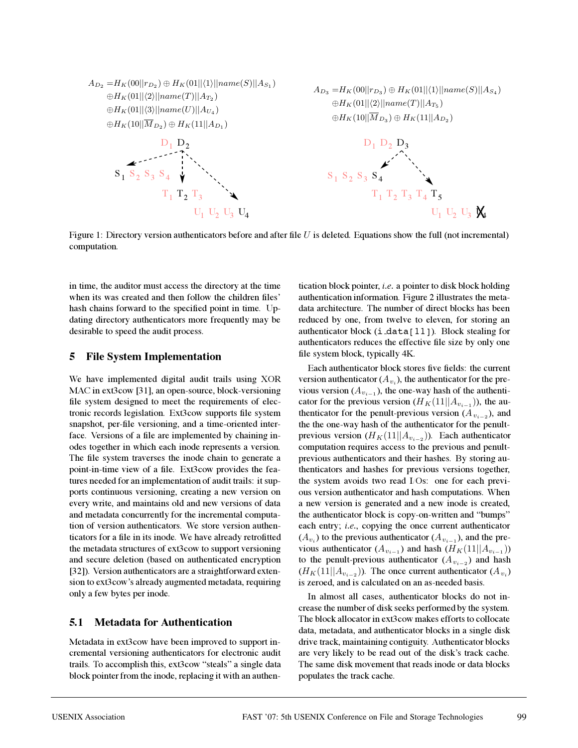

Figure 1: Directory version authenticators before and after file  $U$  is deleted. Equations show the full (not incremental) computation.

in time, the auditor must access the directory at the time when its was created and then follow the children files' hash chains forward to the specified point in time. Updating directory authenticators more frequently may be desirable to speed the audit process.

## **5 File System Implementation**

We have implemented digital audit trails using XOR MAC in ext3cow [31], an open-source, block-versioning file system designed to meet the requirements of electronic records legislation. Ext3cow supports file system snapshot, per-file versioning, and a time-oriented interface. Versions of a file are implemented by chaining inodes together in which each inode represents a version. The file system traverses the inode chain to generate a point-in-time view of a file. Ext3cow provides the features needed for an implementation of audit trails: it supports continuous versioning, creating a new version on every write, and maintains old and new versions of data and metadata concurrently for the incremental computation of version authenticators. We store version authenticators for a file in its inode. We have already retrofitted the metadata structures of ext3cow to support versioning and secure deletion (based on authenticated encryption [32]). Version authenticators are a straightforward extension to ext3cow's already augmented metadata, requiring only a few bytes per inode.

# **5.1 Metadata for Authentication**

Metadata in ext3cow have been improved to support incremental versioning authenticators for electronic audit trails. To accomplish this, ext3cow "steals" a single data block pointer from the inode, replacing it with an authentication block pointer, *i.e.* a pointer to disk block holding authentication information. Figure 2 illustrates the metadata architecture. The number of direct blocks has been reduced by one, from twelve to eleven, for storing an authenticator block  $(i$  data $[11]$ ). Block stealing for authenticators reduces the effective file size by only one file system block, typically 4K.

Each authenticator block stores five fields: the current version authenticator ( $A_{v_i}$ ), the authenticator for the previous version ( $A_{v_{i-1}}$ ), the one-way hash of the authenticator for the previous version  $(H_K(11||A_{v_{i-1}}))$ , the authenticator for the penult-previous version ( $A_{v_{i-2}}$ ), and the the one-way hash of the authenticator for the penultprevious version ( $H_K(11||A_{v_{i-2}})$ ). Each authenticator computation requires access to the previous and penultprevious authenticators and their hashes. By storing authenticators and hashes for previous versions together, the system avoids two read I/Os: one for each previous version authenticator and hash computations. When a new version is generated and a new inode is created, the authenticator block is copy-on-written and "bumps" each entry; *i.e.*, copying the once current authenticator  $(A_{v_i})$  to the previous authenticator  $(A_{v_{i-1}})$ , and the previous authenticator ( $A_{v_{i-1}}$ ) and hash ( $H_K(11||A_{v_{i-1}})$ ) to the penult-previous authenticator ( $A_{v_{i-2}}$ ) and hash  $(H_K(11||A_{v_{i-2}}))$ . The once current authenticator  $(A_{v_i})$ is zeroed, and is calculated on an as-needed basis.

In almost all cases, authenticator blocks do not increase the number of disk seeks performed by the system. The block allocator in ext3cow makes efforts to collocate data, metadata, and authenticator blocks in a single disk drive track, maintaining contiguity. Authenticator blocks are very likely to be read out of the disk's track cache. The same disk movement that reads inode or data blocks populates the track cache.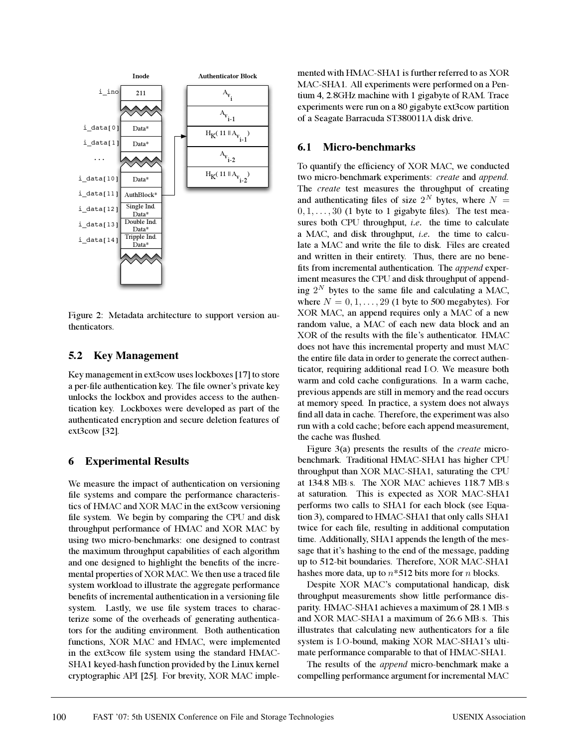

Figure 2: Metadata architecture to support version authenticators.

## **5.2 Key Management**

Key management in ext3cow uses lockboxes [17] to store a per-file authentication key. The file owner's private key unlocks the lockbox and provides access to the authentication key. Lockboxes were developed as part of the authenticated encryption and secure deletion features of ext3cow [32].

## **6 Experimental Results**

We measure the impact of authentication on versioning file systems and compare the performance characteristics of HMAC and XOR MAC in the ext3cow versioning file system. We begin by comparing the CPU and disk throughput performance of HMAC and XOR MAC by using two micro-benchmarks: one designed to contrast the maximum throughput capabilities of each algorithm and one designed to highlight the benefits of the incremental properties of XOR MAC. We then use a traced file system workload to illustrate the aggregate performance benefits of incremental authentication in a versioning file system. Lastly, we use file system traces to characterize some of the overheads of generating authenticators for the auditing environment. Both authentication functions, XOR MAC and HMAC, were implemented in the ext3cow file system using the standard HMAC-SHA1 keyed-hash function provided by the Linux kernel cryptographic API [25]. For brevity, XOR MAC implemented with HMAC-SHA1 is further referred to as XOR MAC-SHA1. All experiments were performed on a Pentium 4, 2.8GHz machine with 1 gigabyte of RAM. Trace experiments were run on a 80 gigabyte ext3cow partition of a Seagate Barracuda ST380011A disk drive.

#### **6.1 Micro-benchmarks**

To quantify the efficiency of XOR MAC, we conducted two micro-benchmark experiments: *create* and *append*. The *create* test measures the throughput of creating and authenticating files of size  $2^N$  bytes, where  $N =$  $0, 1, \ldots, 30$  (1 byte to 1 gigabyte files). The test measures both CPU throughput, *i.e.* the time to calculate a MAC, and disk throughput, *i.e.* the time to calculate a MAC and write the file to disk. Files are created and written in their entirety. Thus, there are no benefits from incremental authentication. The *append* experiment measures the CPU and disk throughput of appending  $2^N$  bytes to the same file and calculating a MAC, where  $N = 0, 1, \ldots, 29$  (1 byte to 500 megabytes). For XOR MAC, an append requires only a MAC of a new random value, a MAC of each new data block and an XOR of the results with the file's authenticator. HMAC does not have this incremental property and must MAC the entire file data in order to generate the correct authenticator, requiring additional read I/O. We measure both warm and cold cache configurations. In a warm cache, previous appends are still in memory and the read occurs at memory speed. In practice, a system does not always find all data in cache. Therefore, the experiment was also run with a cold cache; before each append measurement, the cache was flushed.

Figure 3(a) presents the results of the *create* microbenchmark. Traditional HMAC-SHA1 has higher CPU throughput than XOR MAC-SHA1, saturating the CPU at 134.8 MB/s. The XOR MAC achieves 118.7 MB/s at saturation. This is expected as XOR MAC-SHA1 performs two calls to SHA1 for each block (see Equation 3), compared to HMAC-SHA1 that only calls SHA1 twice for each file, resulting in additional computation time. Additionally, SHA1 appends the length of the message that it's hashing to the end of the message, padding up to 512-bit boundaries. Therefore, XOR MAC-SHA1 hashes more data, up to  $n*512$  bits more for n blocks.

Despite XOR MAC's computational handicap, disk throughput measurements show little performance disparity. HMAC-SHA1 achieves a maximum of 28.1 MB/s and XOR MAC-SHA1 a maximum of 26.6 MB/s. This illustrates that calculating new authenticators for a file system is I/O-bound, making XOR MAC-SHA1's ultimate performance comparable to that of HMAC-SHA1.

The results of the *append* micro-benchmark make a compelling performance argument for incremental MAC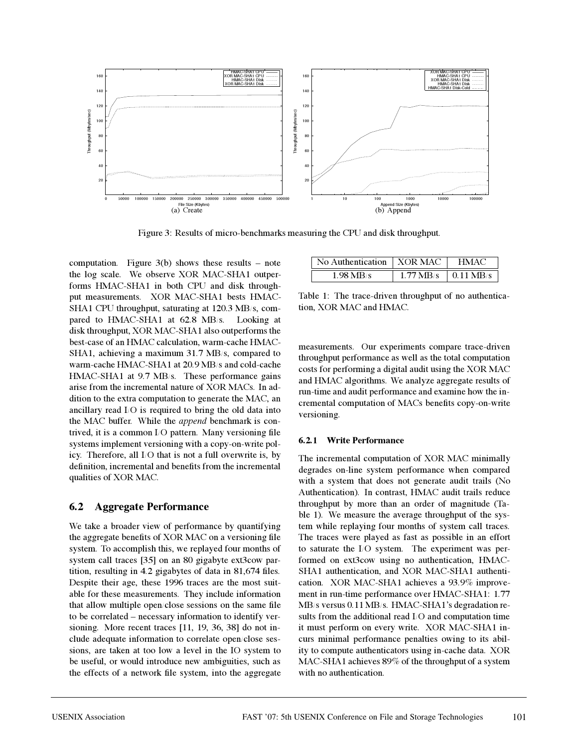

Figure 3: Results of micro-benchmarks measuring the CPU and disk throughput.

computation. Figure  $3(b)$  shows these results – note the log scale. We observe XOR MAC-SHA1 outperforms HMAC-SHA1 in both CPU and disk throughput measurements. XOR MAC-SHA1 bests HMAC-SHA1 CPU throughput, saturating at 120.3 MB/s, compared to HMAC-SHA1 at 62.8 MB/s. Looking at disk throughput, XOR MAC-SHA1 also outperforms the best-case of an HMAC calculation, warm-cache HMAC-SHA1, achieving a maximum 31.7 MB/s, compared to warm-cache HMAC-SHA1 at 20.9 MB/s and cold-cache HMAC-SHA1 at 9.7 MB/s. These performance gains arise from the incremental nature of XOR MACs. In addition to the extra computation to generate the MAC, an ancillary read I/O is required to bring the old data into the MAC buffer. While the *append* benchmark is contrived, it is a common I/O pattern. Many versioning file systems implement versioning with a copy-on-write policy. Therefore, all I/O that is not a full overwrite is, by definition, incremental and benefits from the incremental qualities of XOR MAC.

## **6.2 Aggregate Performance**

We take a broader view of performance by quantifying the aggregate benefits of XOR MAC on a versioning file system. To accomplish this, we replayed four months of system call traces [35] on an 80 gigabyte ext3cow partition, resulting in 4.2 gigabytes of data in 81,674 files. Despite their age, these 1996 traces are the most suitable for these measurements. They include information that allow multiple open/close sessions on the same file to be correlated – necessary information to identify versioning. More recent traces [11, 19, 36, 38] do not include adequate information to correlate open/close sessions, are taken at too low a level in the IO system to be useful, or would introduce new ambiguities, such as the effects of a network file system, into the aggregate

| No Authentication   XOR MAC |                                 | HMAC. |
|-----------------------------|---------------------------------|-------|
| $1.98$ MR/s                 | $1.77 \text{ MB/s}$   0.11 MB/s |       |

Table 1: The trace-driven throughput of no authentication, XOR MAC and HMAC.

measurements. Our experiments compare trace-driven throughput performance as well as the total computation costs for performing a digital audit using the XOR MAC and HMAC algorithms. We analyze aggregate results of run-time and audit performance and examine how the incremental computation of MACs benefits copy-on-write versioning.

#### **6.2.1 Write Performance**

The incremental computation of XOR MAC minimally degrades on-line system performance when compared with a system that does not generate audit trails (No Authentication). In contrast, HMAC audit trails reduce throughput by more than an order of magnitude (Table 1). We measure the average throughput of the system while replaying four months of system call traces. The traces were played as fast as possible in an effort to saturate the I/O system. The experiment was performed on ext3cow using no authentication, HMAC-SHA1 authentication, and XOR MAC-SHA1 authentication. XOR MAC-SHA1 achieves a 93.9% improvement in run-time performance over HMAC-SHA1: 1.77 MB/s versus 0.11 MB/s. HMAC-SHA1's degradation results from the additional read I/O and computation time it must perform on every write. XOR MAC-SHA1 incurs minimal performance penalties owing to its ability to compute authenticators using in-cache data. XOR MAC-SHA1 achieves 89% of the throughput of a system with no authentication.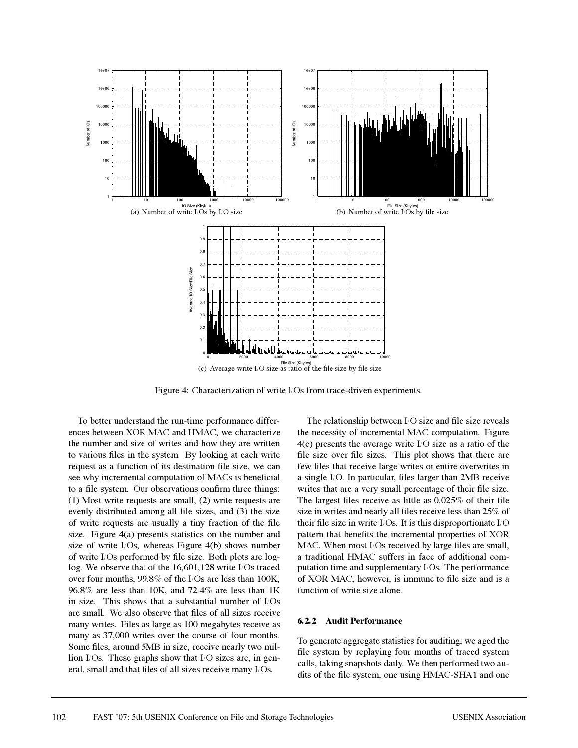

Figure 4: Characterization of write I/Os from trace-driven experiments.

To better understand the run-time performance differences between XOR MAC and HMAC, we characterize the number and size of writes and how they are written to various files in the system. By looking at each write request as a function of its destination file size, we can see why incremental computation of MACs is beneficial to a file system. Our observations confirm three things: (1) Most write requests are small, (2) write requests are evenly distributed among all file sizes, and (3) the size of write requests are usually a tiny fraction of the file size. Figure 4(a) presents statistics on the number and size of write I/Os, whereas Figure 4(b) shows number of write I/Os performed by file size. Both plots are loglog. We observe that of the 16,601,128 write I/Os traced over four months, 99.8% of the I/Os are less than 100K, 96.8% are less than 10K, and 72.4% are less than 1K in size. This shows that a substantial number of I/Os are small. We also observe that files of all sizes receive many writes. Files as large as 100 megabytes receive as many as 37,000 writes over the course of four months. Some files, around 5MB in size, receive nearly two million I/Os. These graphs show that I/O sizes are, in general, small and that files of all sizes receive many I/Os.

The relationship between I/O size and file size reveals the necessity of incremental MAC computation. Figure 4(c) presents the average write I/O size as a ratio of the file size over file sizes. This plot shows that there are few files that receive large writes or entire overwrites in a single I/O. In particular, files larger than 2MB receive writes that are a very small percentage of their file size. The largest files receive as little as 0.025% of their file size in writes and nearly all files receive less than 25% of their file size in write I/Os. It is this disproportionate I/O pattern that benefits the incremental properties of XOR MAC. When most I/Os received by large files are small, a traditional HMAC suffers in face of additional computation time and supplementary I/Os. The performance of XOR MAC, however, is immune to file size and is a function of write size alone.

#### **6.2.2 Audit Performance**

To generate aggregate statistics for auditing, we aged the file system by replaying four months of traced system calls, taking snapshots daily. We then performed two audits of the file system, one using HMAC-SHA1 and one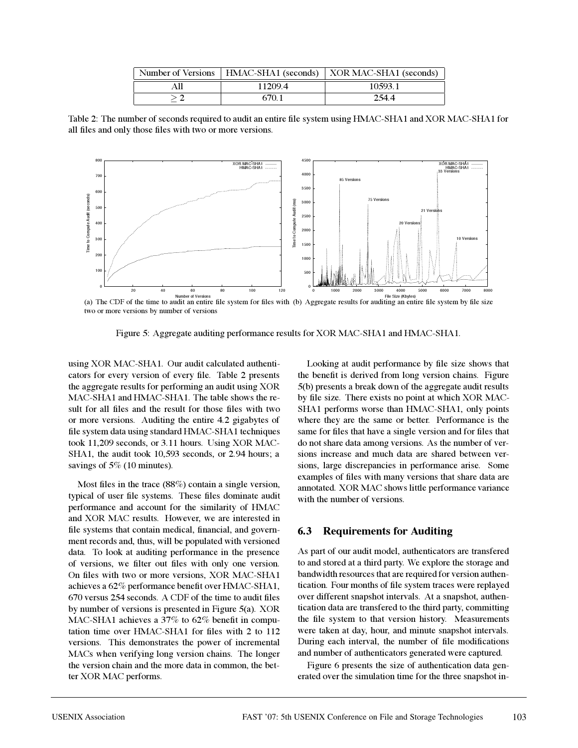|     |        | Number of Versions   HMAC-SHA1 (seconds)   XOR MAC-SHA1 (seconds) |
|-----|--------|-------------------------------------------------------------------|
| A11 | 112094 | 10593.1                                                           |
|     | 670.1  | 254.4                                                             |

Table 2: The number of seconds required to audit an entire file system using HMAC-SHA1 and XOR MAC-SHA1 for all files and only those files with two or more versions.



Number of Versions<br>(a) The Size (Kbytes)<br>(a) The CDF of the time to audit an entire file system for files with (b) Aggregate results for auditing an entire file system by file size two or more versions by number of versions

Figure 5: Aggregate auditing performance results for XOR MAC-SHA1 and HMAC-SHA1.

using XOR MAC-SHA1. Our audit calculated authenticators for every version of every file. Table 2 presents the aggregate results for performing an audit using XOR MAC-SHA1 and HMAC-SHA1. The table shows the result for all files and the result for those files with two or more versions. Auditing the entire 4.2 gigabytes of file system data using standard HMAC-SHA1 techniques took 11,209 seconds, or 3.11 hours. Using XOR MAC-SHA1, the audit took 10,593 seconds, or 2.94 hours; a savings of 5% (10 minutes).

Most files in the trace (88%) contain a single version, typical of user file systems. These files dominate audit performance and account for the similarity of HMAC and XOR MAC results. However, we are interested in file systems that contain medical, financial, and government records and, thus, will be populated with versioned data. To look at auditing performance in the presence of versions, we filter out files with only one version. On files with two or more versions, XOR MAC-SHA1 achieves a 62% performance benefit over HMAC-SHA1, 670 versus 254 seconds. A CDF of the time to audit files by number of versions is presented in Figure 5(a). XOR MAC-SHA1 achieves a 37% to 62% benefit in computation time over HMAC-SHA1 for files with 2 to 112 versions. This demonstrates the power of incremental MACs when verifying long version chains. The longer the version chain and the more data in common, the better XOR MAC performs.

Looking at audit performance by file size shows that the benefit is derived from long version chains. Figure 5(b) presents a break down of the aggregate audit results by file size. There exists no point at which XOR MAC-SHA1 performs worse than HMAC-SHA1, only points where they are the same or better. Performance is the same for files that have a single version and for files that do not share data among versions. As the number of versions increase and much data are shared between versions, large discrepancies in performance arise. Some examples of files with many versions that share data are annotated. XOR MAC shows little performance variance with the number of versions.

#### **6.3 Requirements for Auditing**

As part of our audit model, authenticators are transfered to and stored at a third party. We explore the storage and bandwidth resources that are required for version authentication. Four months of file system traces were replayed over different snapshot intervals. At a snapshot, authentication data are transfered to the third party, committing the file system to that version history. Measurements were taken at day, hour, and minute snapshot intervals. During each interval, the number of file modifications and number of authenticators generated were captured.

Figure 6 presents the size of authentication data generated over the simulation time for the three snapshot in-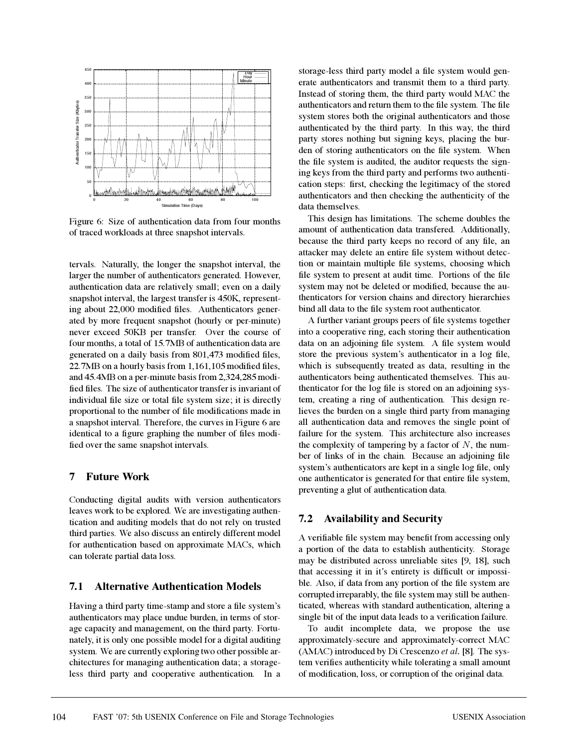

Figure 6: Size of authentication data from four months of traced workloads at three snapshot intervals.

tervals. Naturally, the longer the snapshot interval, the larger the number of authenticators generated. However, authentication data are relatively small; even on a daily snapshot interval, the largest transfer is 450K, representing about 22,000 modified files. Authenticators generated by more frequent snapshot (hourly or per-minute) never exceed 50KB per transfer. Over the course of four months, a total of 15.7MB of authentication data are generated on a daily basis from 801,473 modified files, 22.7MB on a hourly basis from 1,161,105 modified files, and 45.4MB on a per-minute basis from 2,324,285 modified files. The size of authenticator transfer is invariant of individual file size or total file system size; it is directly proportional to the number of file modifications made in a snapshot interval. Therefore, the curves in Figure 6 are identical to a figure graphing the number of files modified over the same snapshot intervals.

#### **7 Future Work**

Conducting digital audits with version authenticators leaves work to be explored. We are investigating authentication and auditing models that do not rely on trusted third parties. We also discuss an entirely different model for authentication based on approximate MACs, which can tolerate partial data loss.

## **7.1 Alternative Authentication Models**

Having a third party time-stamp and store a file system's authenticators may place undue burden, in terms of storage capacity and management, on the third party. Fortunately, it is only one possible model for a digital auditing system. We are currently exploring two other possible architectures for managing authentication data; a storageless third party and cooperative authentication. In a storage-less third party model a file system would generate authenticators and transmit them to a third party. Instead of storing them, the third party would MAC the authenticators and return them to the file system. The file system stores both the original authenticators and those authenticated by the third party. In this way, the third party stores nothing but signing keys, placing the burden of storing authenticators on the file system. When the file system is audited, the auditor requests the signing keys from the third party and performs two authentication steps: first, checking the legitimacy of the stored authenticators and then checking the authenticity of the data themselves.

This design has limitations. The scheme doubles the amount of authentication data transfered. Additionally, because the third party keeps no record of any file, an attacker may delete an entire file system without detection or maintain multiple file systems, choosing which file system to present at audit time. Portions of the file system may not be deleted or modified, because the authenticators for version chains and directory hierarchies bind all data to the file system root authenticator.

A further variant groups peers of file systems together into a cooperative ring, each storing their authentication data on an adjoining file system. A file system would store the previous system's authenticator in a log file, which is subsequently treated as data, resulting in the authenticators being authenticated themselves. This authenticator for the log file is stored on an adjoining system, creating a ring of authentication. This design relieves the burden on a single third party from managing all authentication data and removes the single point of failure for the system. This architecture also increases the complexity of tampering by a factor of  $N$ , the number of links of in the chain. Because an adjoining file system's authenticators are kept in a single log file, only one authenticator is generated for that entire file system, preventing a glut of authentication data.

## **7.2 Availability and Security**

A verifiable file system may benefit from accessing only a portion of the data to establish authenticity. Storage may be distributed across unreliable sites [9, 18], such that accessing it in it's entirety is difficult or impossible. Also, if data from any portion of the file system are corrupted irreparably, the file system may still be authenticated, whereas with standard authentication, altering a single bit of the input data leads to a verification failure.

To audit incomplete data, we propose the use approximately-secure and approximately-correct MAC (AMAC) introduced by Di Crescenzo *et al.* [8]. The system verifies authenticity while tolerating a small amount of modification, loss, or corruption of the original data.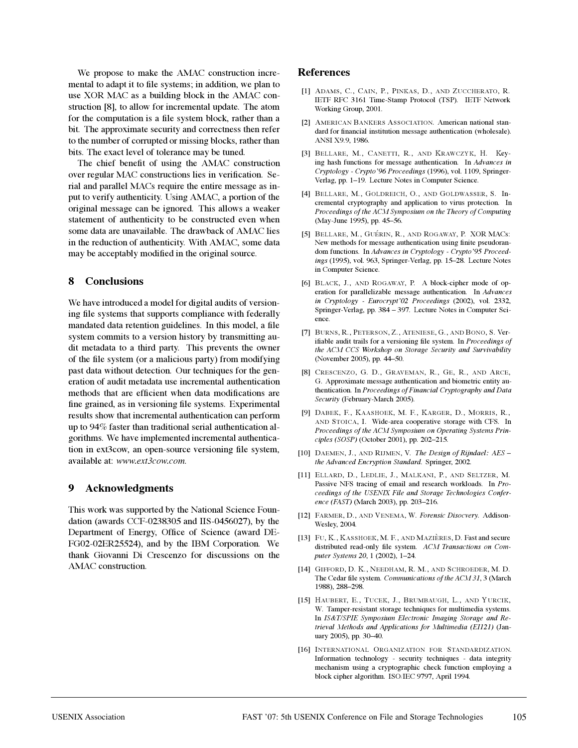We propose to make the AMAC construction incremental to adapt it to file systems; in addition, we plan to use XOR MAC as a building block in the AMAC construction [8], to allow for incremental update. The atom for the computation is a file system block, rather than a bit. The approximate security and correctness then refer to the number of corrupted or missing blocks, rather than bits. The exact level of tolerance may be tuned.

The chief benefit of using the AMAC construction over regular MAC constructions lies in verification. Serial and parallel MACs require the entire message as input to verify authenticity. Using AMAC, a portion of the original message can be ignored. This allows a weaker statement of authenticity to be constructed even when some data are unavailable. The drawback of AMAC lies in the reduction of authenticity. With AMAC, some data may be acceptably modified in the original source.

#### **8 Conclusions**

We have introduced a model for digital audits of versioning file systems that supports compliance with federally mandated data retention guidelines. In this model, a file system commits to a version history by transmitting audit metadata to a third party. This prevents the owner of the file system (or a malicious party) from modifying past data without detection. Our techniques for the generation of audit metadata use incremental authentication methods that are efficient when data modifications are fine grained, as in versioning file systems. Experimental results show that incremental authentication can perform up to 94% faster than traditional serial authentication algorithms. We have implemented incremental authentication in ext3cow, an open-source versioning file system, available at: *www.ext3cow.com*.

## **9 Acknowledgments**

This work was supported by the National Science Foundation (awards CCF-0238305 and IIS-0456027), by the Department of Energy, Office of Science (award DE-FG02-02ER25524), and by the IBM Corporation. We thank Giovanni Di Crescenzo for discussions on the AMAC construction.

#### **References**

- [1] ADAMS, C., CAIN, P., PINKAS, D., AND ZUCCHERATO, R. IETF RFC 3161 Time-Stamp Protocol (TSP). IETF Network Working Group, 2001.
- [2] AMERICAN BANKERS ASSOCIATION. American national standard for financial institution message authentication (wholesale). ANSI X9.9, 1986.
- [3] BELLARE, M., CANETTI, R., AND KRAWCZYK, H. Keying hash functions for message authentication. In *Advances in Cryptology - Crypto'96 Proceedings* (1996), vol. 1109, Springer-Verlag, pp. 1–19. Lecture Notes in Computer Science.
- [4] BELLARE, M., GOLDREICH, O., AND GOLDWASSER, S. Incremental cryptography and application to virus protection. In *Proceedings of the ACM Symposium on the Theory of Computing* (May-June 1995), pp. 45–56.
- [5] BELLARE, M., GUÉRIN, R., AND ROGAWAY, P. XOR MACs: New methods for message authentication using finite pseudorandom functions. In *Advances in Cryptology - Crypto'95 Proceedings* (1995), vol. 963, Springer-Verlag, pp. 15–28. Lecture Notes in Computer Science.
- [6] BLACK, J., AND ROGAWAY, P. A block-cipher mode of operation for parallelizable message authentication. In *Advances in Cryptology - Eurocrypt'02 Proceedings* (2002), vol. 2332, Springer-Verlag, pp. 384 – 397. Lecture Notes in Computer Science.
- [7] BURNS, R., PETERSON, Z., ATENIESE, G., AND BONO, S. Verifiable audit trails for a versioning file system. In *Proceedings of the ACM CCS Workshop on Storage Security and Survivability* (November 2005), pp. 44–50.
- [8] CRESCENZO, G. D., GRAVEMAN, R., GE, R., AND ARCE, G. Approximate message authentication and biometric entity authentication. In *Proceedings of Financial Cryptography and Data Security* (February-March 2005).
- [9] DABEK, F., KAASHOEK, M. F., KARGER, D., MORRIS, R., AND STOICA, I. Wide-area cooperative storage with CFS. In *Proceedings of the ACM Symposium on Operating Systems Principles (SOSP)* (October 2001), pp. 202–215.
- [10] DAEMEN, J., AND RIJMEN, V. *The Design of Rijndael: AES – the Advanced Encryption Standard*. Springer, 2002.
- [11] ELLARD, D., LEDLIE, J., MALKANI, P., AND SELTZER, M. Passive NFS tracing of email and research workloads. In *Proceedings of the USENIX File and Storage Technologies Conference (FAST)* (March 2003), pp. 203–216.
- [12] FARMER, D., AND VENEMA, W. *Forensic Disocvery*. Addison-Wesley, 2004.
- [13] FU, K., KASSHOEK, M. F., AND MAZIÈRES, D. Fast and secure distributed read-only file system. *ACM Transactions on Computer Systems 20*, 1 (2002), 1–24.
- [14] GIFFORD, D. K., NEEDHAM, R. M., AND SCHROEDER, M. D. The Cedar file system. *Communications of the ACM 31*, 3 (March 1988), 288–298.
- [15] HAUBERT, E., TUCEK, J., BRUMBAUGH, L., AND YURCIK, W. Tamper-resistant storage techniques for multimedia systems. In *IS&T/SPIE Symposium Electronic Imaging Storage and Retrieval Methods and Applications for Multimedia (EI121)* (January 2005), pp. 30–40.
- [16] INTERNATIONAL ORGANIZATION FOR STANDARDIZATION. Information technology - security techniques - data integrity mechanism using a cryptographic check function employing a block cipher algorithm. ISO/IEC 9797, April 1994.